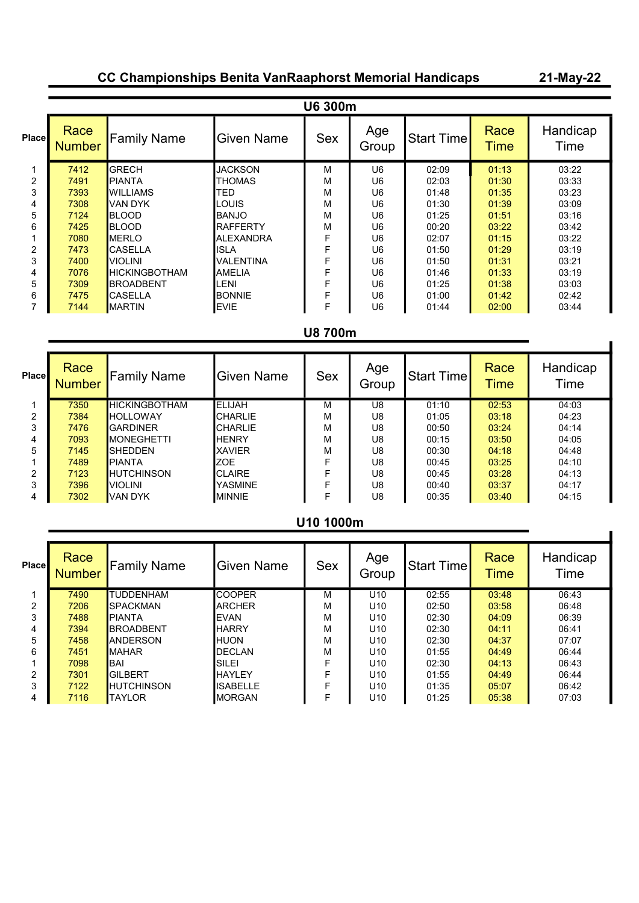## CC Championships Benita VanRaaphorst Memorial Handicaps

21-May-22

|       | <b>U6 300m</b>        |                       |                   |            |                |                   |                     |                  |  |  |
|-------|-----------------------|-----------------------|-------------------|------------|----------------|-------------------|---------------------|------------------|--|--|
| Place | Race<br><b>Number</b> | <b>Family Name</b>    | <b>Given Name</b> | <b>Sex</b> | Age<br>Group   | <b>Start Time</b> | Race<br><b>Time</b> | Handicap<br>Time |  |  |
| 1     | 7412                  | <b>GRECH</b>          | <b>JACKSON</b>    | м          | U <sub>6</sub> | 02:09             | 01:13               | 03:22            |  |  |
| 2     | 7491                  | <b>PIANTA</b>         | THOMAS            | м          | U6             | 02:03             | 01:30               | 03:33            |  |  |
| 3     | 7393                  | IWILLIAMS             | <b>TED</b>        | м          | U6             | 01:48             | 01:35               | 03:23            |  |  |
| 4     | 7308                  | VAN DYK               | LOUIS             | м          | U6             | 01:30             | 01:39               | 03:09            |  |  |
| 5     | 7124                  | <b>BLOOD</b>          | <b>BANJO</b>      | м          | U6             | 01:25             | 01:51               | 03:16            |  |  |
| 6     | 7425                  | <b>IBLOOD</b>         | <b>RAFFERTY</b>   | М          | U6             | 00:20             | 03:22               | 03:42            |  |  |
|       | 7080                  | <b>IMERLO</b>         | <b>ALEXANDRA</b>  | F          | U6             | 02:07             | 01:15               | 03:22            |  |  |
| 2     | 7473                  | <b>CASELLA</b>        | <b>ISLA</b>       | F          | U6             | 01:50             | 01:29               | 03:19            |  |  |
| 3     | 7400                  | <b>VIOLINI</b>        | VALENTINA         | F          | U6             | 01:50             | 01:31               | 03:21            |  |  |
| 4     | 7076                  | <b>IHICKINGBOTHAM</b> | <b>AMELIA</b>     | F          | U <sub>6</sub> | 01:46             | 01:33               | 03:19            |  |  |
| 5     | 7309                  | <b>IBROADBENT</b>     | -ENI              | F          | U <sub>6</sub> | 01:25             | 01:38               | 03:03            |  |  |
| 6     | 7475                  | ICASELLA              | <b>BONNIE</b>     | F          | U6             | 01:00             | 01:42               | 02:42            |  |  |
|       | 7144                  | IMARTIN               | <b>EVIE</b>       | F          | U <sub>6</sub> | 01:44             | 02:00               | 03:44            |  |  |

## U8 700m

| Place          | Race<br><b>Number</b> | <b>Family Name</b>   | <b>Given Name</b> | <b>Sex</b> | Age<br>Group | <b>Start Time</b> | Race<br>Time | Handicap<br>Time |
|----------------|-----------------------|----------------------|-------------------|------------|--------------|-------------------|--------------|------------------|
|                | 7350                  | <b>HICKINGBOTHAM</b> | <b>IELIJAH</b>    | М          | U8           | 01:10             | 02:53        | 04:03            |
| $\overline{2}$ | 7384                  | <b>HOLLOWAY</b>      | <b>CHARLIE</b>    | M          | U8           | 01:05             | 03:18        | 04:23            |
| 3              | 7476                  | <b>GARDINER</b>      | <b>CHARLIE</b>    | M          | U8           | 00:50             | 03:24        | 04:14            |
| 4              | 7093                  | <b>IMONEGHETTI</b>   | <b>HENRY</b>      | M          | U8           | 00:15             | 03:50        | 04:05            |
| 5              | 7145                  | <b>SHEDDEN</b>       | <b>XAVIER</b>     | M          | U8           | 00:30             | 04:18        | 04:48            |
|                | 7489                  | <b>PIANTA</b>        | ZOE               | F          | U8           | 00:45             | 03:25        | 04:10            |
| 2              | 7123                  | <b>HUTCHINSON</b>    | <b>CLAIRE</b>     | F          | U8           | 00:45             | 03:28        | 04:13            |
| 3              | 7396                  | <b>VIOLINI</b>       | YASMINE           | F          | U8           | 00:40             | 03:37        | 04:17            |
| 4              | 7302                  | VAN DYK              | <b>MINNIE</b>     | F          | U8           | 00:35             | 03:40        | 04:15            |

#### U10 1000m

| Place | Race<br><b>Number</b> | <b>Family Name</b> | <b>Given Name</b> | <b>Sex</b> | Age<br>Group    | <b>Start Timel</b> | Race<br>Time | Handicap<br>Time |
|-------|-----------------------|--------------------|-------------------|------------|-----------------|--------------------|--------------|------------------|
|       | 7490                  | <b>TUDDENHAM</b>   | <b>COOPER</b>     | м          | U <sub>10</sub> | 02:55              | 03:48        | 06:43            |
| 2     | 7206                  | <b>SPACKMAN</b>    | <b>ARCHER</b>     | М          | U <sub>10</sub> | 02:50              | 03:58        | 06:48            |
| 3     | 7488                  | <b>PIANTA</b>      | <b>EVAN</b>       | м          | U <sub>10</sub> | 02:30              | 04:09        | 06:39            |
| 4     | 7394                  | <b>BROADBENT</b>   | <b>HARRY</b>      | м          | U10             | 02:30              | 04:11        | 06:41            |
| 5     | 7458                  | <b>ANDERSON</b>    | <b>HUON</b>       | M          | U10             | 02:30              | 04:37        | 07:07            |
| 6     | 7451                  | <b>MAHAR</b>       | <b>DECLAN</b>     | M          | U <sub>10</sub> | 01:55              | 04:49        | 06:44            |
|       | 7098                  | IBAI               | <b>SILEI</b>      | F          | U <sub>10</sub> | 02:30              | 04:13        | 06:43            |
| 2     | 7301                  | <b>GILBERT</b>     | <b>HAYLEY</b>     | F          | U <sub>10</sub> | 01:55              | 04:49        | 06:44            |
| 3     | 7122                  | <b>HUTCHINSON</b>  | <b>ISABELLE</b>   | F          | U <sub>10</sub> | 01:35              | 05:07        | 06:42            |
| 4     | 7116                  | <b>TAYLOR</b>      | IMORGAN           | F          | U10             | 01:25              | 05:38        | 07:03            |